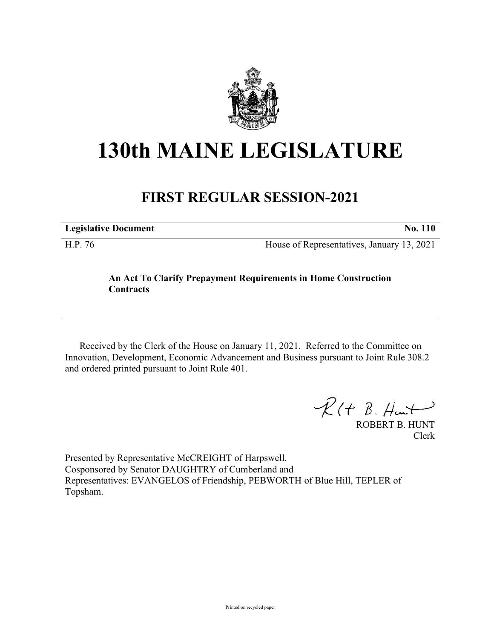

## **130th MAINE LEGISLATURE**

## **FIRST REGULAR SESSION-2021**

**Legislative Document No. 110**

H.P. 76 House of Representatives, January 13, 2021

## **An Act To Clarify Prepayment Requirements in Home Construction Contracts**

Received by the Clerk of the House on January 11, 2021. Referred to the Committee on Innovation, Development, Economic Advancement and Business pursuant to Joint Rule 308.2 and ordered printed pursuant to Joint Rule 401.

 $R(H B. H<sub>un</sub>+)$ 

ROBERT B. HUNT Clerk

Presented by Representative McCREIGHT of Harpswell. Cosponsored by Senator DAUGHTRY of Cumberland and Representatives: EVANGELOS of Friendship, PEBWORTH of Blue Hill, TEPLER of Topsham.